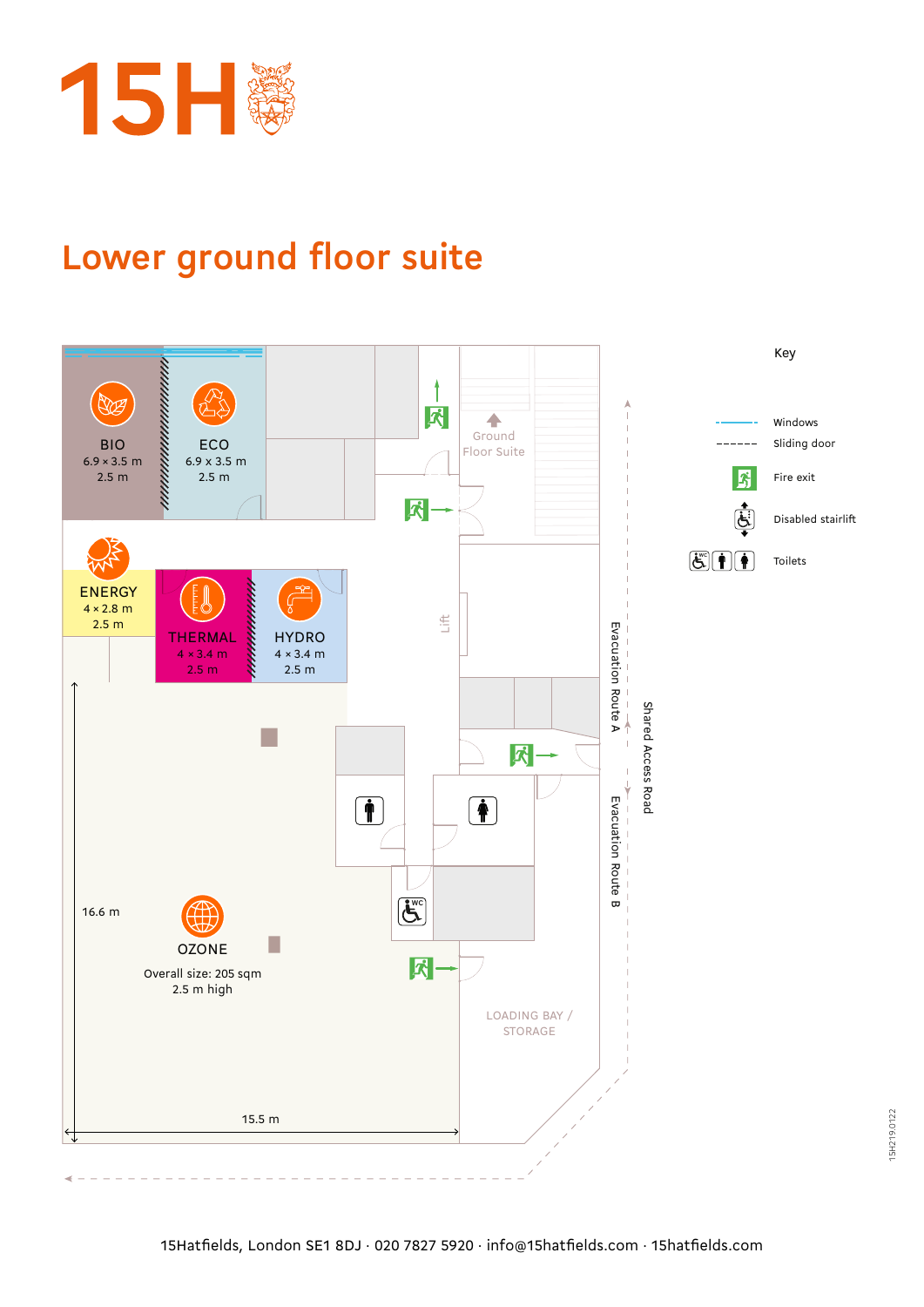

## **Lower ground floor suite**